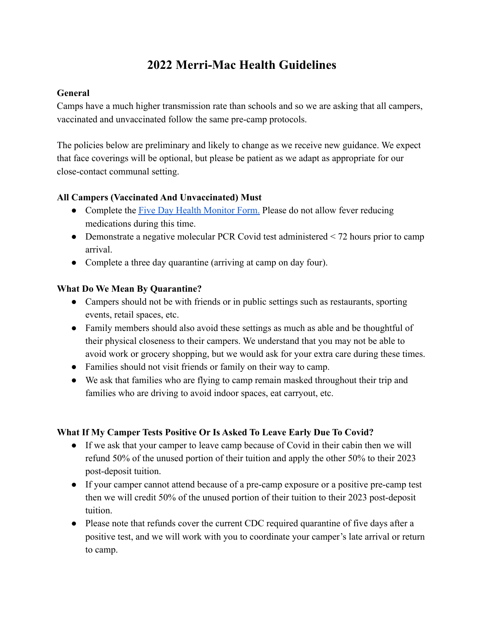# **2022 Merri-Mac Health Guidelines**

# **General**

Camps have a much higher transmission rate than schools and so we are asking that all campers, vaccinated and unvaccinated follow the same pre-camp protocols.

The policies below are preliminary and likely to change as we receive new guidance. We expect that face coverings will be optional, but please be patient as we adapt as appropriate for our close-contact communal setting.

# **All Campers (Vaccinated And Unvaccinated) Must**

- Complete the [Five Day Health Monitor Form.](http://www.merri-mac.com/wp-content/uploads/2022/03/Five-Day-Health-Monitor-Form.pdf) Please do not allow fever reducing medications during this time.
- Demonstrate a negative molecular PCR Covid test administered  $\leq$  72 hours prior to camp arrival.
- Complete a three day quarantine (arriving at camp on day four).

# **What Do We Mean By Quarantine?**

- Campers should not be with friends or in public settings such as restaurants, sporting events, retail spaces, etc.
- Family members should also avoid these settings as much as able and be thoughtful of their physical closeness to their campers. We understand that you may not be able to avoid work or grocery shopping, but we would ask for your extra care during these times.
- Families should not visit friends or family on their way to camp.
- We ask that families who are flying to camp remain masked throughout their trip and families who are driving to avoid indoor spaces, eat carryout, etc.

# **What If My Camper Tests Positive Or Is Asked To Leave Early Due To Covid?**

- If we ask that your camper to leave camp because of Covid in their cabin then we will refund 50% of the unused portion of their tuition and apply the other 50% to their 2023 post-deposit tuition.
- If your camper cannot attend because of a pre-camp exposure or a positive pre-camp test then we will credit 50% of the unused portion of their tuition to their 2023 post-deposit tuition.
- Please note that refunds cover the current CDC required quarantine of five days after a positive test, and we will work with you to coordinate your camper's late arrival or return to camp.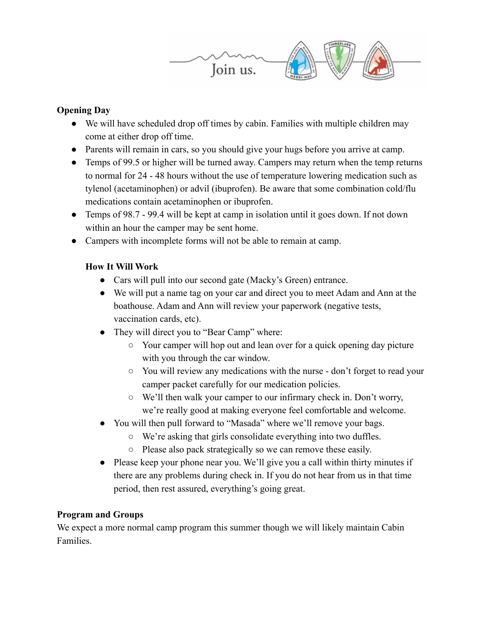

# **Opening Day**

- We will have scheduled drop off times by cabin. Families with multiple children may come at either drop off time.
- Parents will remain in cars, so you should give your hugs before you arrive at camp.
- Temps of 99.5 or higher will be turned away. Campers may return when the temp returns to normal for 24 - 48 hours without the use of temperature lowering medication such as tylenol (acetaminophen) or advil (ibuprofen). Be aware that some combination cold/flu medications contain acetaminophen or ibuprofen.
- Temps of 98.7 99.4 will be kept at camp in isolation until it goes down. If not down within an hour the camper may be sent home.
- Campers with incomplete forms will not be able to remain at camp.

# **How It Will Work**

- Cars will pull into our second gate (Macky's Green) entrance.
- We will put a name tag on your car and direct you to meet Adam and Ann at the boathouse. Adam and Ann will review your paperwork (negative tests, vaccination cards, etc).
- They will direct you to "Bear Camp" where:
	- Your camper will hop out and lean over for a quick opening day picture with you through the car window.
	- You will review any medications with the nurse don't forget to read your camper packet carefully for our medication policies.
	- We'll then walk your camper to our infirmary check in. Don't worry, we're really good at making everyone feel comfortable and welcome.
- You will then pull forward to "Masada" where we'll remove your bags.
	- We're asking that girls consolidate everything into two duffles.
	- Please also pack strategically so we can remove these easily.
- Please keep your phone near you. We'll give you a call within thirty minutes if there are any problems during check in. If you do not hear from us in that time period, then rest assured, everything's going great.

#### **Program and Groups**

We expect a more normal camp program this summer though we will likely maintain Cabin Families.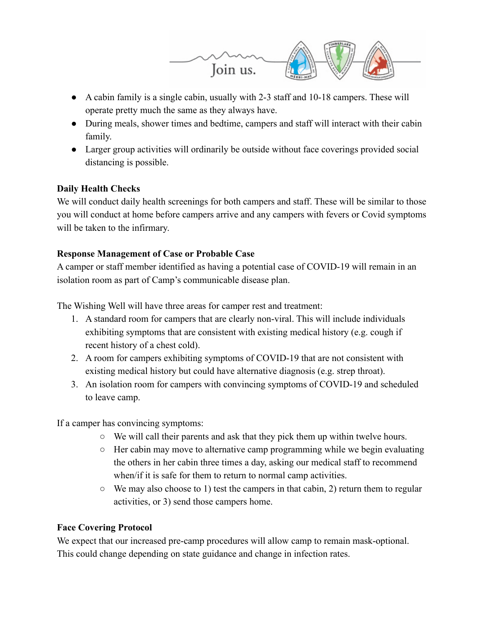

- A cabin family is a single cabin, usually with 2-3 staff and 10-18 campers. These will operate pretty much the same as they always have.
- During meals, shower times and bedtime, campers and staff will interact with their cabin family.
- Larger group activities will ordinarily be outside without face coverings provided social distancing is possible.

# **Daily Health Checks**

We will conduct daily health screenings for both campers and staff. These will be similar to those you will conduct at home before campers arrive and any campers with fevers or Covid symptoms will be taken to the infirmary.

# **Response Management of Case or Probable Case**

A camper or staff member identified as having a potential case of COVID-19 will remain in an isolation room as part of Camp's communicable disease plan.

The Wishing Well will have three areas for camper rest and treatment:

- 1. A standard room for campers that are clearly non-viral. This will include individuals exhibiting symptoms that are consistent with existing medical history (e.g. cough if recent history of a chest cold).
- 2. A room for campers exhibiting symptoms of COVID-19 that are not consistent with existing medical history but could have alternative diagnosis (e.g. strep throat).
- 3. An isolation room for campers with convincing symptoms of COVID-19 and scheduled to leave camp.

If a camper has convincing symptoms:

- We will call their parents and ask that they pick them up within twelve hours.
- Her cabin may move to alternative camp programming while we begin evaluating the others in her cabin three times a day, asking our medical staff to recommend when/if it is safe for them to return to normal camp activities.
- $\circ$  We may also choose to 1) test the campers in that cabin, 2) return them to regular activities, or 3) send those campers home.

#### **Face Covering Protocol**

We expect that our increased pre-camp procedures will allow camp to remain mask-optional. This could change depending on state guidance and change in infection rates.